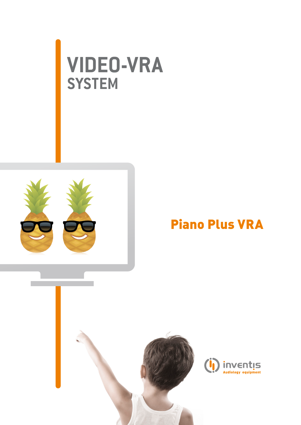# **video-vra system**



### Piano Plus VRA